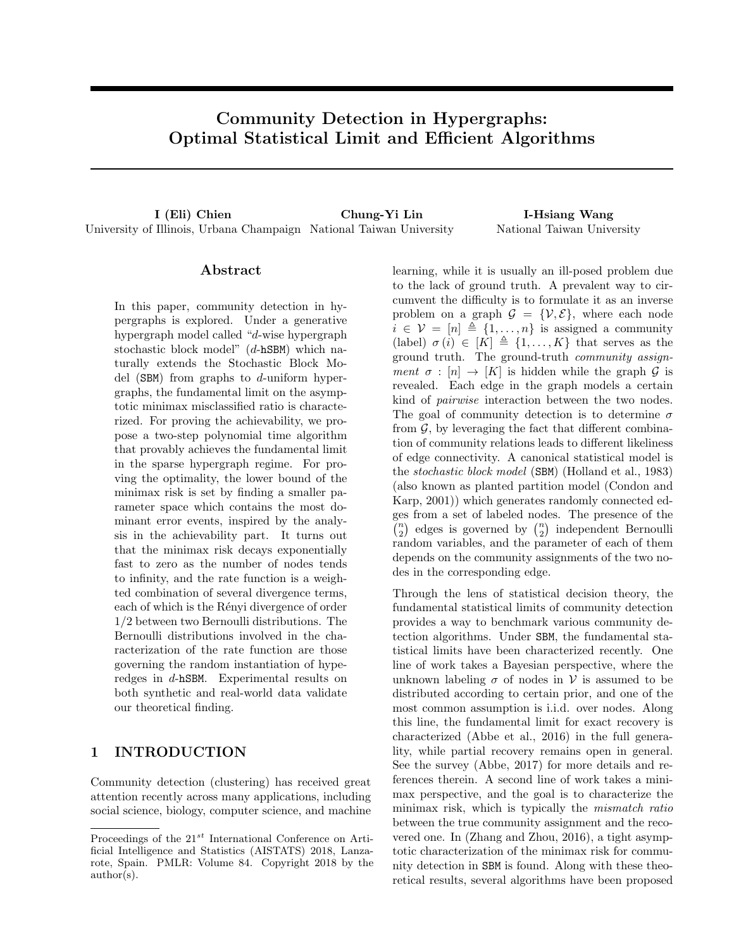# Community Detection in Hypergraphs: Optimal Statistical Limit and Efficient Algorithms

I (Eli) Chien Chung-Yi Lin I-Hsiang Wang University of Illinois, Urbana Champaign National Taiwan University National Taiwan University

## Abstract

In this paper, community detection in hypergraphs is explored. Under a generative hypergraph model called "d-wise hypergraph stochastic block model" (d-hSBM) which naturally extends the Stochastic Block Model  $(SBM)$  from graphs to d-uniform hypergraphs, the fundamental limit on the asymptotic minimax misclassified ratio is characterized. For proving the achievability, we propose a two-step polynomial time algorithm that provably achieves the fundamental limit in the sparse hypergraph regime. For proving the optimality, the lower bound of the minimax risk is set by finding a smaller parameter space which contains the most dominant error events, inspired by the analysis in the achievability part. It turns out that the minimax risk decays exponentially fast to zero as the number of nodes tends to infinity, and the rate function is a weighted combination of several divergence terms, each of which is the Rényi divergence of order 1/2 between two Bernoulli distributions. The Bernoulli distributions involved in the characterization of the rate function are those governing the random instantiation of hyperedges in d-hSBM. Experimental results on both synthetic and real-world data validate our theoretical finding.

## 1 INTRODUCTION

Community detection (clustering) has received great attention recently across many applications, including social science, biology, computer science, and machine

learning, while it is usually an ill-posed problem due to the lack of ground truth. A prevalent way to circumvent the difficulty is to formulate it as an inverse problem on a graph  $\mathcal{G} = \{V, \mathcal{E}\}\$ , where each node  $i \in \mathcal{V} = [n] \triangleq \{1, \ldots, n\}$  is assigned a community (label)  $\sigma(i) \in [K] \triangleq \{1, \ldots, K\}$  that serves as the ground truth. The ground-truth community assignment  $\sigma : [n] \rightarrow [K]$  is hidden while the graph G is revealed. Each edge in the graph models a certain kind of pairwise interaction between the two nodes. The goal of community detection is to determine  $\sigma$ from  $\mathcal{G}$ , by leveraging the fact that different combination of community relations leads to different likeliness of edge connectivity. A canonical statistical model is the stochastic block model (SBM) (Holland et al., [1983\)](#page-8-0) (also known as planted partition model (Condon and Karp, [2001\)](#page-8-1)) which generates randomly connected edges from a set of labeled nodes. The presence of the  $\binom{n}{2}$  edges is governed by  $\binom{n}{2}$  independent Bernoulli random variables, and the parameter of each of them depends on the community assignments of the two nodes in the corresponding edge.

Through the lens of statistical decision theory, the fundamental statistical limits of community detection provides a way to benchmark various community detection algorithms. Under SBM, the fundamental statistical limits have been characterized recently. One line of work takes a Bayesian perspective, where the unknown labeling  $\sigma$  of nodes in V is assumed to be distributed according to certain prior, and one of the most common assumption is i.i.d. over nodes. Along this line, the fundamental limit for exact recovery is characterized (Abbe et al., [2016\)](#page-8-2) in the full generality, while partial recovery remains open in general. See the survey (Abbe, [2017\)](#page-8-3) for more details and references therein. A second line of work takes a minimax perspective, and the goal is to characterize the minimax risk, which is typically the mismatch ratio between the true community assignment and the recovered one. In (Zhang and Zhou, [2016\)](#page-8-4), a tight asymptotic characterization of the minimax risk for community detection in SBM is found. Along with these theoretical results, several algorithms have been proposed

Proceedings of the  $21^{st}$  International Conference on Artificial Intelligence and Statistics (AISTATS) 2018, Lanzarote, Spain. PMLR: Volume 84. Copyright 2018 by the author(s).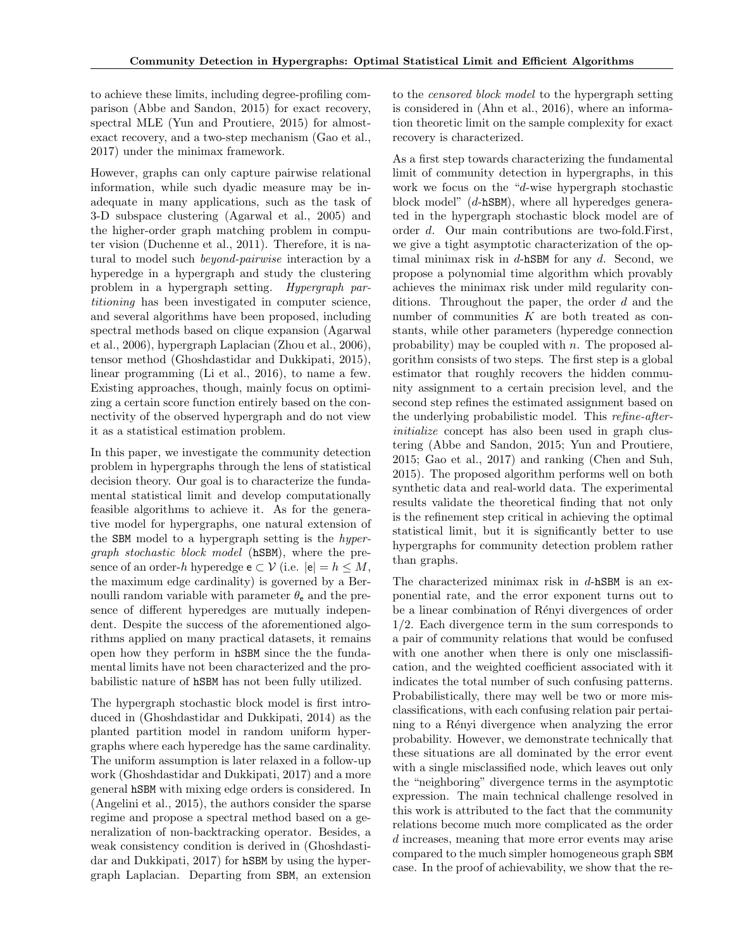to achieve these limits, including degree-profiling comparison (Abbe and Sandon, [2015\)](#page-7-0) for exact recovery, spectral MLE (Yun and Proutiere, [2015\)](#page-8-5) for almostexact recovery, and a two-step mechanism (Gao et al., [2017\)](#page-8-6) under the minimax framework.

However, graphs can only capture pairwise relational information, while such dyadic measure may be inadequate in many applications, such as the task of 3-D subspace clustering (Agarwal et al., [2005\)](#page-8-7) and the higher-order graph matching problem in computer vision (Duchenne et al., [2011\)](#page-8-8). Therefore, it is natural to model such beyond-pairwise interaction by a hyperedge in a hypergraph and study the clustering problem in a hypergraph setting. Hypergraph partitioning has been investigated in computer science, and several algorithms have been proposed, including spectral methods based on clique expansion (Agarwal et al., [2006\)](#page-8-9), hypergraph Laplacian (Zhou et al., [2006\)](#page-8-10), tensor method (Ghoshdastidar and Dukkipati, [2015\)](#page-8-11), linear programming (Li et al., [2016\)](#page-8-12), to name a few. Existing approaches, though, mainly focus on optimizing a certain score function entirely based on the connectivity of the observed hypergraph and do not view it as a statistical estimation problem.

In this paper, we investigate the community detection problem in hypergraphs through the lens of statistical decision theory. Our goal is to characterize the fundamental statistical limit and develop computationally feasible algorithms to achieve it. As for the generative model for hypergraphs, one natural extension of the SBM model to a hypergraph setting is the hypergraph stochastic block model (hSBM), where the presence of an order-h hyperedge  $e \subset \mathcal{V}$  (i.e.  $|e| = h \leq M$ , the maximum edge cardinality) is governed by a Bernoulli random variable with parameter  $\theta_e$  and the presence of different hyperedges are mutually independent. Despite the success of the aforementioned algorithms applied on many practical datasets, it remains open how they perform in hSBM since the the fundamental limits have not been characterized and the probabilistic nature of hSBM has not been fully utilized.

The hypergraph stochastic block model is first introduced in (Ghoshdastidar and Dukkipati, [2014\)](#page-8-13) as the planted partition model in random uniform hypergraphs where each hyperedge has the same cardinality. The uniform assumption is later relaxed in a follow-up work (Ghoshdastidar and Dukkipati, [2017\)](#page-8-14) and a more general hSBM with mixing edge orders is considered. In (Angelini et al., [2015\)](#page-8-15), the authors consider the sparse regime and propose a spectral method based on a generalization of non-backtracking operator. Besides, a weak consistency condition is derived in (Ghoshdastidar and Dukkipati, [2017\)](#page-8-14) for hSBM by using the hypergraph Laplacian. Departing from SBM, an extension

to the censored block model to the hypergraph setting is considered in (Ahn et al., [2016\)](#page-8-16), where an information theoretic limit on the sample complexity for exact recovery is characterized.

As a first step towards characterizing the fundamental limit of community detection in hypergraphs, in this work we focus on the "d-wise hypergraph stochastic block model" (d-hSBM), where all hyperedges generated in the hypergraph stochastic block model are of order d. Our main contributions are two-fold.First, we give a tight asymptotic characterization of the optimal minimax risk in  $d$ -hSBM for any  $d$ . Second, we propose a polynomial time algorithm which provably achieves the minimax risk under mild regularity conditions. Throughout the paper, the order d and the number of communities K are both treated as constants, while other parameters (hyperedge connection probability) may be coupled with  $n$ . The proposed algorithm consists of two steps. The first step is a global estimator that roughly recovers the hidden community assignment to a certain precision level, and the second step refines the estimated assignment based on the underlying probabilistic model. This refine-afterinitialize concept has also been used in graph clustering (Abbe and Sandon, [2015;](#page-7-0) Yun and Proutiere, [2015;](#page-8-5) Gao et al., [2017\)](#page-8-6) and ranking (Chen and Suh, [2015\)](#page-8-17). The proposed algorithm performs well on both synthetic data and real-world data. The experimental results validate the theoretical finding that not only is the refinement step critical in achieving the optimal statistical limit, but it is significantly better to use hypergraphs for community detection problem rather than graphs.

The characterized minimax risk in  $d$ -hSBM is an exponential rate, and the error exponent turns out to be a linear combination of Rényi divergences of order 1/2. Each divergence term in the sum corresponds to a pair of community relations that would be confused with one another when there is only one misclassification, and the weighted coefficient associated with it indicates the total number of such confusing patterns. Probabilistically, there may well be two or more misclassifications, with each confusing relation pair pertaining to a Rényi divergence when analyzing the error probability. However, we demonstrate technically that these situations are all dominated by the error event with a single misclassified node, which leaves out only the "neighboring" divergence terms in the asymptotic expression. The main technical challenge resolved in this work is attributed to the fact that the community relations become much more complicated as the order d increases, meaning that more error events may arise compared to the much simpler homogeneous graph SBM case. In the proof of achievability, we show that the re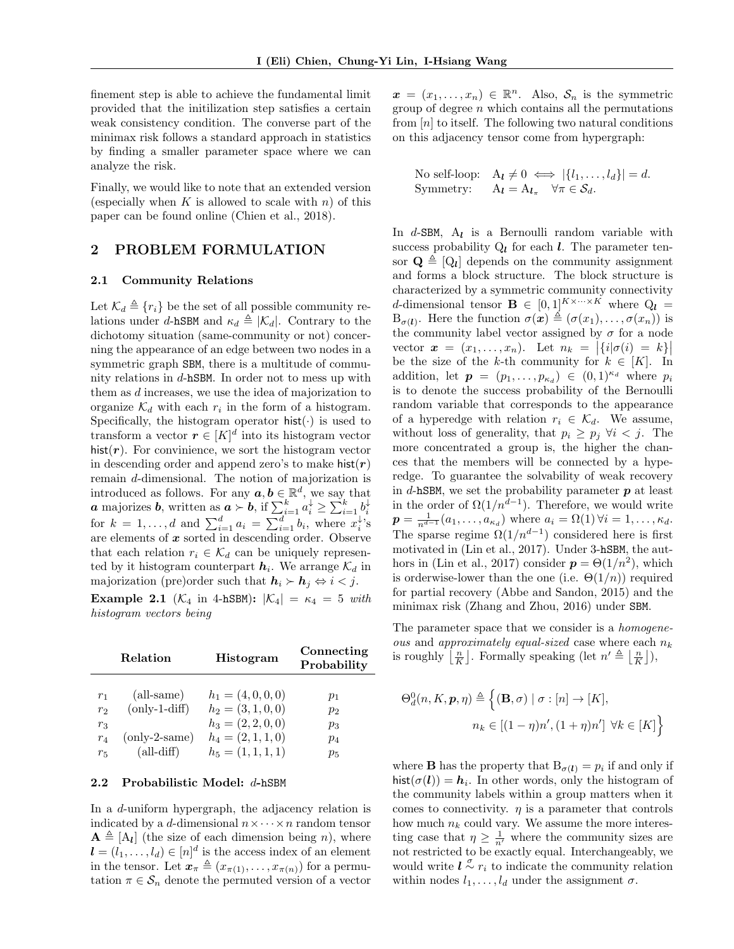finement step is able to achieve the fundamental limit provided that the initilization step satisfies a certain weak consistency condition. The converse part of the minimax risk follows a standard approach in statistics by finding a smaller parameter space where we can analyze the risk.

Finally, we would like to note that an extended version (especially when K is allowed to scale with n) of this paper can be found online (Chien et al., [2018\)](#page-8-18).

## 2 PROBLEM FORMULATION

#### 2.1 Community Relations

Let  $\mathcal{K}_d \triangleq \{r_i\}$  be the set of all possible community relations under d-hSBM and  $\kappa_d \triangleq |\mathcal{K}_d|$ . Contrary to the dichotomy situation (same-community or not) concerning the appearance of an edge between two nodes in a symmetric graph SBM, there is a multitude of community relations in d-hSBM. In order not to mess up with them as d increases, we use the idea of majorization to organize  $\mathcal{K}_d$  with each  $r_i$  in the form of a histogram. Specifically, the histogram operator  $hist(\cdot)$  is used to transform a vector  $r \in [K]^d$  into its histogram vector hist $(r)$ . For convinience, we sort the histogram vector in descending order and append zero's to make hist $(r)$ remain d-dimensional. The notion of majorization is introduced as follows. For any  $a, b \in \mathbb{R}^d$ , we say that **a** majorizes **b**, written as  $\boldsymbol{a} \succ \boldsymbol{b}$ , if  $\sum_{i=1}^{k} a_i^{\downarrow} \ge \sum_{i=1}^{k} b_i^{\downarrow}$  for  $k = 1, ..., d$  and  $\sum_{i=1}^{d} a_i = \sum_{i=1}^{d} b_i$ , where  $x_i^{\downarrow}$ 's are elements of  $x$  sorted in descending order. Observe that each relation  $r_i \in \mathcal{K}_d$  can be uniquely represented by it histogram counterpart  $h_i$ . We arrange  $\mathcal{K}_d$  in majorization (pre)order such that  $h_i \succ h_j \Leftrightarrow i < j$ .

Example 2.1 ( $\mathcal{K}_4$  in 4-hSBM):  $|\mathcal{K}_4| = \kappa_4 = 5$  with histogram vectors being

|                                  | Relation                                 | <b>Histogram</b>                                             | Connecting<br>Probability |
|----------------------------------|------------------------------------------|--------------------------------------------------------------|---------------------------|
| r <sub>1</sub><br>r <sub>2</sub> | $\text{(all-sample)}$<br>$(only-1-diff)$ | $h_1 = (4,0,0,0)$<br>$h_2 = (3, 1, 0, 0)$<br>$h_3=(2,2,0,0)$ | $p_1$<br>$p_{2}$          |
| $r_3$<br>$r_4$<br>$r_{5}$        | $(only-2-sample)$<br>$(all\text{-}diff)$ | $h_4=(2,1,1,0)$<br>$h_5=(1,1,1,1)$                           | $p_3$<br>$p_4$<br>$p_5$   |

#### 2.2 Probabilistic Model: d-hSBM

In a d-uniform hypergraph, the adjacency relation is indicated by a d-dimensional  $n \times \cdots \times n$  random tensor  $\mathbf{A} \triangleq [A_{\mathbf{l}}]$  (the size of each dimension being n), where  $\boldsymbol{l} = (l_1, \ldots, l_d) \in [n]^d$  is the access index of an element in the tensor. Let  $\mathbf{x}_{\pi} \triangleq (x_{\pi(1)}, \ldots, x_{\pi(n)})$  for a permutation  $\pi \in \mathcal{S}_n$  denote the permuted version of a vector

 $\boldsymbol{x} = (x_1, \ldots, x_n) \in \mathbb{R}^n$ . Also,  $\mathcal{S}_n$  is the symmetric group of degree  $n$  which contains all the permutations from  $[n]$  to itself. The following two natural conditions on this adjacency tensor come from hypergraph:

No self-loop: 
$$
A_l \neq 0 \iff |\{l_1, ..., l_d\}| = d
$$
.  
Symmetry:  $A_l = A_{l_{\pi}} \quad \forall \pi \in S_d$ .

In  $d$ -SBM,  $A_l$  is a Bernoulli random variable with success probability  $Q_l$  for each l. The parameter tensor  $\mathbf{Q} \triangleq [Q_{\mathbf{l}}]$  depends on the community assignment and forms a block structure. The block structure is characterized by a symmetric community connectivity d-dimensional tensor  $\mathbf{B} \in [0,1]^{K \times \cdots \times K}$  where  $Q_l =$  $B_{\sigma(l)}$ . Here the function  $\sigma(\mathbf{x}) \triangleq (\sigma(x_1), \ldots, \sigma(x_n))$  is the community label vector assigned by  $\sigma$  for a node vector  $\boldsymbol{x} = (x_1, \ldots, x_n)$ . Let  $n_k = |\{i | \sigma(i) = k\}|$ be the size of the k-th community for  $k \in [K]$ . In addition, let  $p = (p_1, \ldots, p_{\kappa_d}) \in (0,1)^{\kappa_d}$  where  $p_i$ is to denote the success probability of the Bernoulli random variable that corresponds to the appearance of a hyperedge with relation  $r_i \in \mathcal{K}_d$ . We assume, without loss of generality, that  $p_i \geq p_j \ \forall i < j$ . The more concentrated a group is, the higher the chances that the members will be connected by a hyperedge. To guarantee the solvability of weak recovery in d-hSBM, we set the probability parameter  $p$  at least in the order of  $\Omega(1/n^{d-1})$ . Therefore, we would write  $p = \frac{1}{n^{d-1}}(a_1, \ldots, a_{\kappa_d})$  where  $a_i = \Omega(1) \forall i = 1, \ldots, \kappa_d$ . The sparse regime  $\Omega(1/n^{d-1})$  considered here is first motivated in (Lin et al., [2017\)](#page-8-19). Under 3-hSBM, the aut-hors in (Lin et al., [2017\)](#page-8-19) consider  $p = \Theta(1/n^2)$ , which is orderwise-lower than the one (i.e.  $\Theta(1/n)$ ) required for partial recovery (Abbe and Sandon, [2015\)](#page-7-0) and the minimax risk (Zhang and Zhou, [2016\)](#page-8-4) under SBM.

The parameter space that we consider is a *homogene*ous and approximately equal-sized case where each  $n_k$ is roughly  $\lfloor \frac{n}{K} \rfloor$ . Formally speaking (let  $n' \triangleq \lfloor \frac{n}{K} \rfloor$ ),

$$
\Theta_d^0(n, K, \mathbf{p}, \eta) \triangleq \left\{ (\mathbf{B}, \sigma) \mid \sigma : [n] \to [K], \right\}
$$

$$
n_k \in [(1 - \eta)n', (1 + \eta)n'] \,\,\forall k \in [K] \right\}
$$

where **B** has the property that  $B_{\sigma(l)} = p_i$  if and only if hist $(\sigma(\mathbf{l})) = \mathbf{h}_i$ . In other words, only the histogram of the community labels within a group matters when it comes to connectivity.  $\eta$  is a parameter that controls how much  $n_k$  could vary. We assume the more interesting case that  $\eta \geq \frac{1}{n'}$  where the community sizes are not restricted to be exactly equal. Interchangeably, we would write  $l \overset{\sigma}{\sim} r_i$  to indicate the community relation within nodes  $l_1, \ldots, l_d$  under the assignment  $\sigma$ .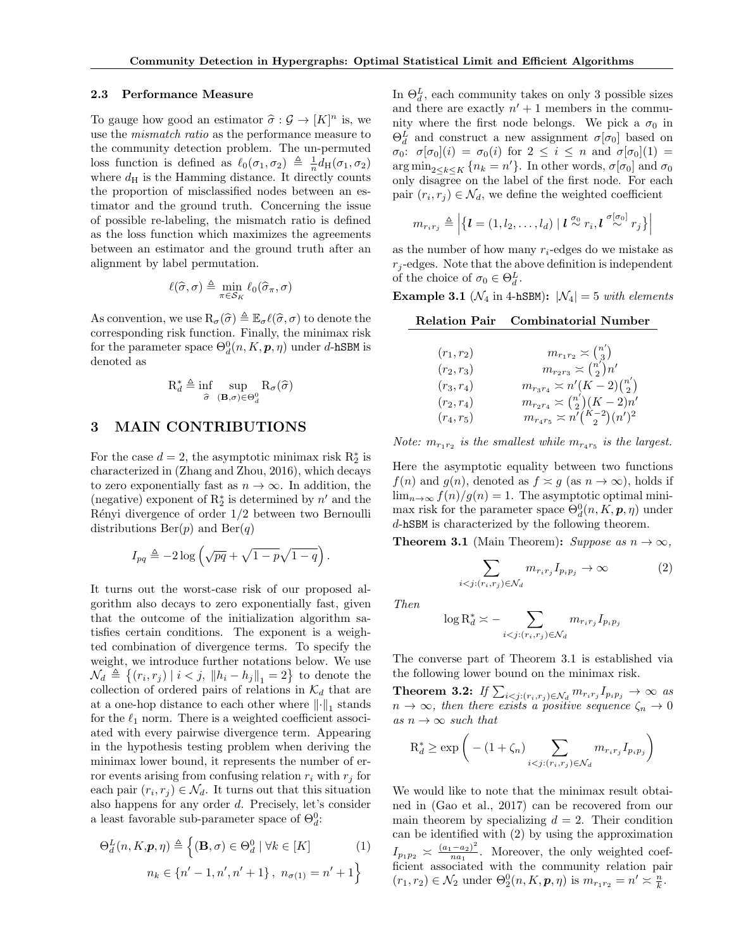#### 2.3 Performance Measure

To gauge how good an estimator  $\hat{\sigma}: \mathcal{G} \to [K]^n$  is, we<br>use the migratch ratio as the performance measure to use the mismatch ratio as the performance measure to the community detection problem. The un-permuted loss function is defined as  $\ell_0(\sigma_1, \sigma_2) \triangleq \frac{1}{n} d_H(\sigma_1, \sigma_2)$ where  $d_{\rm H}$  is the Hamming distance. It directly counts the proportion of misclassified nodes between an estimator and the ground truth. Concerning the issue of possible re-labeling, the mismatch ratio is defined as the loss function which maximizes the agreements between an estimator and the ground truth after an alignment by label permutation.

$$
\ell(\widehat{\sigma}, \sigma) \triangleq \min_{\pi \in \mathcal{S}_K} \ell_0(\widehat{\sigma}_{\pi}, \sigma)
$$

As convention, we use  $R_{\sigma}(\hat{\sigma}) \triangleq \mathbb{E}_{\sigma} \ell(\hat{\sigma}, \sigma)$  to denote the corresponding risk function. Finally, the minimax risk for the parameter space  $\Theta_d^0(n,K,\bm{p},\eta)$  under d-hSBM is denoted as

$$
\mathbf{R}_d^* \triangleq \inf_{\widehat{\sigma}} \sup_{(\mathbf{B}, \sigma) \in \Theta_d^0} \mathbf{R}_{\sigma}(\widehat{\sigma})
$$

## 3 MAIN CONTRIBUTIONS

For the case  $d = 2$ , the asymptotic minimax risk  $R_2^*$  is characterized in (Zhang and Zhou, [2016\)](#page-8-4), which decays to zero exponentially fast as  $n \to \infty$ . In addition, the (negative) exponent of  $\mathbf{R}_2^*$  is determined by  $n'$  and the Rényi divergence of order  $1/2$  between two Bernoulli distributions  $\text{Ber}(p)$  and  $\text{Ber}(q)$ 

$$
I_{pq} \triangleq -2\log\left(\sqrt{pq} + \sqrt{1-p}\sqrt{1-q}\right).
$$

It turns out the worst-case risk of our proposed algorithm also decays to zero exponentially fast, given that the outcome of the initialization algorithm satisfies certain conditions. The exponent is a weighted combination of divergence terms. To specify the weight, we introduce further notations below. We use  $\mathcal{N}_d \triangleq \{(r_i, r_j) | i < j, ||h_i - h_j||_1 = 2\}$  to denote the collection of ordered pairs of relations in  $\mathcal{K}_d$  that are at a one-hop distance to each other where  $\lVert \cdot \rVert_1$  stands for the  $\ell_1$  norm. There is a weighted coefficient associated with every pairwise divergence term. Appearing in the hypothesis testing problem when deriving the minimax lower bound, it represents the number of error events arising from confusing relation  $r_i$  with  $r_j$  for each pair  $(r_i, r_j) \in \mathcal{N}_d$ . It turns out that this situation also happens for any order d. Precisely, let's consider a least favorable sub-parameter space of  $\Theta_d^0$ :

$$
\Theta_d^L(n, K, \mathbf{p}, \eta) \triangleq \left\{ (\mathbf{B}, \sigma) \in \Theta_d^0 \mid \forall k \in [K] \tag{1}
$$

$$
n_k \in \{n' - 1, n', n' + 1\}, n_{\sigma(1)} = n' + 1 \right\}
$$

In  $\Theta_d^L$ , each community takes on only 3 possible sizes and there are exactly  $n' + 1$  members in the community where the first node belongs. We pick a  $\sigma_0$  in  $\Theta_d^L$  and construct a new assignment  $\sigma[\sigma_0]$  based on  $\sigma_0$ :  $\sigma[\sigma_0](i) = \sigma_0(i)$  for  $2 \leq i \leq n$  and  $\sigma[\sigma_0](1) =$  $\arg \min_{2 \leq k \leq K} \{n_k = n'\}.$  In other words,  $\sigma[\sigma_0]$  and  $\sigma_0$ only disagree on the label of the first node. For each pair  $(r_i, r_j) \in \mathcal{N}_d$ , we define the weighted coefficient

$$
m_{r_i r_j} \triangleq \left| \{ \boldsymbol{l} = (1, l_2, \dots, l_d) \mid \boldsymbol{l} \stackrel{\sigma_0}{\sim} r_i, \boldsymbol{l} \stackrel{\sigma[\sigma_0]}{\sim} r_j \} \right|
$$

as the number of how many  $r_i$ -edges do we mistake as  $r_i$ -edges. Note that the above definition is independent of the choice of  $\sigma_0 \in \Theta_d^L$ .

Example 3.1 ( $\mathcal{N}_4$  in 4-hSBM):  $|\mathcal{N}_4| = 5$  with elements

|--|

| $(r_1,r_2)$  | $m_{r_1r_2} \asymp \binom{n'}{3}$             |
|--------------|-----------------------------------------------|
| $(r_2,r_3)$  | $m_{r_2r_3} \asymp \binom{n'}{2}n'$           |
| $(r_3, r_4)$ | $m_{r_3r_4} \asymp n'(K-2)\binom{n'}{2}$      |
| $(r_2, r_4)$ | $m_{r_2r_4} \asymp {n' \choose 2} (K-2)n'$    |
| $(r_4, r_5)$ | $m_{r_4r_5} \asymp n^l \binom{K-2}{2} (n')^2$ |

Note:  $m_{r_1r_2}$  is the smallest while  $m_{r_4r_5}$  is the largest.

Here the asymptotic equality between two functions  $f(n)$  and  $g(n)$ , denoted as  $f \approx g$  (as  $n \to \infty$ ), holds if  $\lim_{n\to\infty} f(n)/g(n) = 1$ . The asymptotic optimal minimax risk for the parameter space  $\Theta_d^0(n, K, p, \eta)$  under d-hSBM is characterized by the following theorem.

<span id="page-3-0"></span>**Theorem 3.1** (Main Theorem): Suppose as  $n \to \infty$ ,

<span id="page-3-1"></span>
$$
\sum_{i < j: (r_i, r_j) \in \mathcal{N}_d} m_{r_i r_j} I_{p_i p_j} \to \infty \tag{2}
$$

Then

$$
\log \mathcal{R}_d^* \asymp - \sum_{i < j: (r_i, r_j) \in \mathcal{N}_d} m_{r_i r_j} I_{p_i p_j}
$$

The converse part of Theorem [3.1](#page-3-0) is established via the following lower bound on the minimax risk.

Theorem 3.2: If  $\sum_{i < j: (r_i,r_j) \in \mathcal{N}_d} m_{r_i r_j} I_{p_i p_j} \to \infty$  as  $n \to \infty$ , then there exists a positive sequence  $\zeta_n \to 0$ as  $n \to \infty$  such that

$$
R_d^* \ge \exp\bigg(- (1 + \zeta_n) \sum_{i < j: (r_i, r_j) \in \mathcal{N}_d} m_{r_i r_j} I_{p_i p_j}\bigg)
$$

We would like to note that the minimax result obtained in (Gao et al., [2017\)](#page-8-6) can be recovered from our main theorem by specializing  $d = 2$ . Their condition can be identified with [\(2\)](#page-3-1) by using the approximation  $I_{p_1p_2} \asymp \frac{(a_1-a_2)^2}{na_1}$  $\frac{(-a_2)}{na_1}$ . Moreover, the only weighted coefficient associated with the community relation pair  $(r_1, r_2) \in \mathcal{N}_2$  under  $\Theta_2^0(n, K, \mathbf{p}, \eta)$  is  $m_{r_1 r_2} = n' \approx \frac{n}{k}$ .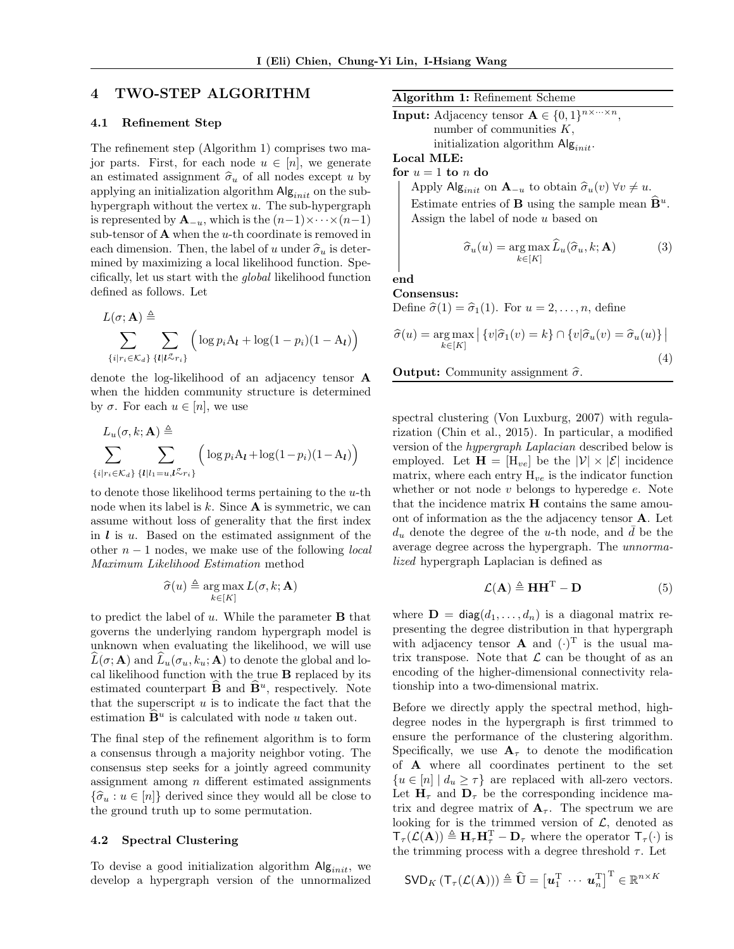## 4 TWO-STEP ALGORITHM

#### 4.1 Refinement Step

The refinement step (Algorithm [1\)](#page-4-0) comprises two major parts. First, for each node  $u \in [n]$ , we generate an estimated assignment  $\hat{\sigma}_u$  of all nodes except u by applying an initialization algorithm  $\mathsf{Alg}_{init}$  on the subhypergraph without the vertex  $u$ . The sub-hypergraph is represented by  $\mathbf{A}_{-u}$ , which is the  $(n-1)\times\cdots\times(n-1)$ sub-tensor of  $A$  when the *u*-th coordinate is removed in each dimension. Then, the label of u under  $\hat{\sigma}_u$  is determined by maximizing a local likelihood function. Specifically, let us start with the global likelihood function defined as follows. Let

$$
L(\sigma; \mathbf{A}) \triangleq \sum_{\{i\mid r_i \in \mathcal{K}_d\}} \sum_{\{l\mid l \leq r_i\}} \left( \log p_i A_l + \log(1 - p_i)(1 - A_l) \right)
$$

denote the log-likelihood of an adjacency tensor A when the hidden community structure is determined by  $\sigma$ . For each  $u \in [n]$ , we use

$$
L_u(\sigma, k; \mathbf{A}) \triangleq \sum_{\{i|r_i \in \mathcal{K}_d\}} \sum_{\{l|l_1 = u, l \sim r_i\}} \left( \log p_i A_l + \log(1 - p_i)(1 - A_l) \right)
$$

to denote those likelihood terms pertaining to the  $u$ -th node when its label is  $k$ . Since  $A$  is symmetric, we can assume without loss of generality that the first index in  $\boldsymbol{l}$  is  $\boldsymbol{u}$ . Based on the estimated assignment of the other  $n-1$  nodes, we make use of the following *local* Maximum Likelihood Estimation method

$$
\widehat{\sigma}(u) \triangleq \argmax_{k \in [K]} L(\sigma, k; \mathbf{A})
$$

to predict the label of  $u$ . While the parameter **B** that governs the underlying random hypergraph model is unknown when evaluating the likelihood, we will use  $L(\sigma; A)$  and  $L_u(\sigma_u, k_u; A)$  to denote the global and local likelihood function with the true B replaced by its estimated counterpart  $\widehat{\mathbf{B}}$  and  $\widehat{\mathbf{B}}^u$ , respectively. Note that the superscript  $u$  is to indicate the fact that the estimation  $\widehat{\mathbf{B}}^u$  is calculated with node u taken out.

The final step of the refinement algorithm is to form a consensus through a majority neighbor voting. The consensus step seeks for a jointly agreed community assignment among  $n$  different estimated assignments  ${\{\hat{\sigma}_u : u \in [n]\}}$  derived since they would all be close to the ground truth up to some permutation.

#### <span id="page-4-0"></span>4.2 Spectral Clustering

To devise a good initialization algorithm  $\mathsf{Alg}_{init}$ , we develop a hypergraph version of the unnormalized

| Algorithm 1: Refinement Scheme |  |  |
|--------------------------------|--|--|
|--------------------------------|--|--|

**Input:** Adjacency tensor  $\mathbf{A} \in \{0, 1\}^{n \times \cdots \times n}$ , number of communities  $K$ , initialization algorithm  $\mathsf{Alg}_{init}$ .

Local MLE:

for  $u = 1$  to n do

Apply Alg<sub>init</sub> on  $\mathbf{A}_{-u}$  to obtain  $\widehat{\sigma}_u(v)$   $\forall v \neq u$ . Estimate entries of **B** using the sample mean  $\widehat{\mathbf{B}}^u$ . Assign the label of node u based on

<span id="page-4-1"></span>
$$
\widehat{\sigma}_u(u) = \underset{k \in [K]}{\arg \max} \widehat{L}_u(\widehat{\sigma}_u, k; \mathbf{A}) \tag{3}
$$

end Consensus:

Define  $\hat{\sigma}(1) = \hat{\sigma}_1(1)$ . For  $u = 2, \ldots, n$ , define

<span id="page-4-2"></span>
$$
\widehat{\sigma}(u) = \underset{k \in [K]}{\arg \max} \left| \left\{ v | \widehat{\sigma}_1(v) = k \right\} \cap \left\{ v | \widehat{\sigma}_u(v) = \widehat{\sigma}_u(u) \right\} \right|
$$
\n(4)

**Output:** Community assignment  $\hat{\sigma}$ .

spectral clustering (Von Luxburg, [2007\)](#page-8-20) with regularization (Chin et al., [2015\)](#page-8-21). In particular, a modified version of the hypergraph Laplacian described below is employed. Let  $\mathbf{H} = [\mathbf{H}_{ve}]$  be the  $|\mathcal{V}| \times |\mathcal{E}|$  incidence matrix, where each entry  $H_{ve}$  is the indicator function whether or not node  $v$  belongs to hyperedge  $e$ . Note that the incidence matrix  ${\bf H}$  contains the same amouont of information as the the adjacency tensor A. Let  $d_u$  denote the degree of the u-th node, and  $\overline{d}$  be the average degree across the hypergraph. The unnormalized hypergraph Laplacian is defined as

<span id="page-4-3"></span>
$$
\mathcal{L}(\mathbf{A}) \triangleq \mathbf{H}\mathbf{H}^{\mathrm{T}} - \mathbf{D} \tag{5}
$$

where  $\mathbf{D} = \text{diag}(d_1, \ldots, d_n)$  is a diagonal matrix representing the degree distribution in that hypergraph with adjacency tensor **A** and  $(\cdot)^T$  is the usual matrix transpose. Note that  $\mathcal L$  can be thought of as an encoding of the higher-dimensional connectivity relationship into a two-dimensional matrix.

Before we directly apply the spectral method, highdegree nodes in the hypergraph is first trimmed to ensure the performance of the clustering algorithm. Specifically, we use  $A_{\tau}$  to denote the modification of A where all coordinates pertinent to the set  ${u \in [n] \mid d_u \geq \tau}$  are replaced with all-zero vectors. Let  $H_{\tau}$  and  $D_{\tau}$  be the corresponding incidence matrix and degree matrix of  $A_\tau$ . The spectrum we are looking for is the trimmed version of  $\mathcal{L}$ , denoted as  $\mathsf{T}_{\tau}(\mathcal{L}(\mathbf{A})) \triangleq \mathbf{H}_{\tau} \mathbf{H}_{\tau}^{\mathrm{T}} - \mathbf{D}_{\tau}$  where the operator  $\mathsf{T}_{\tau}(\cdot)$  is the trimming process with a degree threshold  $\tau$ . Let

$$
\mathsf{SVD}_{K}\left(\mathsf{T}_{\tau}(\mathcal{L}(\mathbf{A}))\right) \triangleq \widehat{\mathbf{U}} = \left[\mathbf{u}_{1}^{\mathrm{T}} \; \cdots \; \mathbf{u}_{n}^{\mathrm{T}}\right]^{\mathrm{T}} \in \mathbb{R}^{n \times K}
$$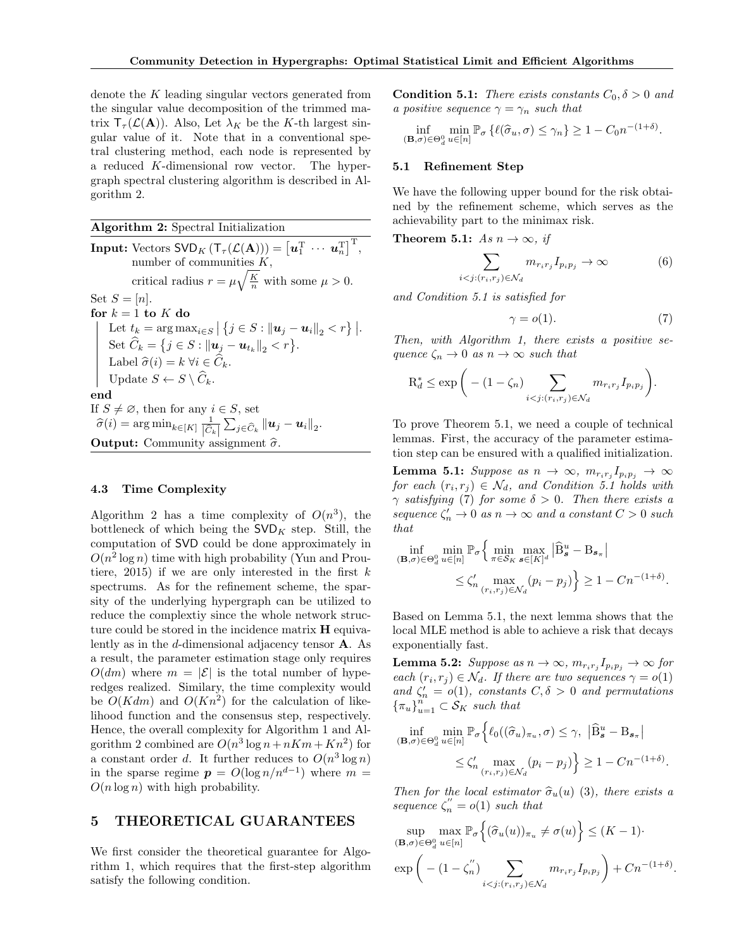denote the K leading singular vectors generated from the singular value decomposition of the trimmed matrix  $T_{\tau}(\mathcal{L}(\mathbf{A}))$ . Also, Let  $\lambda_K$  be the K-th largest singular value of it. Note that in a conventional spetral clustering method, each node is represented by a reduced K-dimensional row vector. The hypergraph spectral clustering algorithm is described in Algorithm [2.](#page-5-0)

<span id="page-5-0"></span>Algorithm 2: Spectral Initialization

**Input:** Vectors  $SVD_K(\mathsf{T}_{\tau}(\mathcal{L}(\mathbf{A}))) = \begin{bmatrix} \boldsymbol{u}_1^{\mathrm{T}} \ \cdots \ \boldsymbol{u}_n^{\mathrm{T}} \end{bmatrix}^{\mathrm{T}},$ number of communities  $K$ , critical radius  $r = \mu \sqrt{\frac{K}{n}}$  with some  $\mu > 0$ . Set  $S = [n]$ . for  $k = 1$  to  $K$  do Let  $t_k = \arg \max_{i \in S} |\{j \in S : ||\boldsymbol{u}_j - \boldsymbol{u}_i||_2 < r\}|.$ Set  $\hat{C}_k = \{j \in S : ||u_j - u_{t_k}||_2 < r\}.$ Label  $\widehat{\sigma}(i) = k \ \forall i \in C_k.$ Update  $S \leftarrow S \setminus \widehat{C}_k$ . end If  $S \neq \emptyset$ , then for any  $i \in S$ , set  $\widehat{\sigma}(i) = \arg \min_{k \in [K]} \frac{1}{|\widehat{C}_k|} \sum_{j \in \widehat{C}_k} ||\boldsymbol{u}_j - \boldsymbol{u}_i||_2.$ **Output:** Community assignment  $\hat{\sigma}$ .

#### 4.3 Time Complexity

Algorithm [2](#page-5-0) has a time complexity of  $O(n^3)$ , the bottleneck of which being the  $SVD<sub>K</sub>$  step. Still, the computation of SVD could be done approximately in  $O(n^2 \log n)$  time with high probability (Yun and Prou-tiere, [2015\)](#page-8-5) if we are only interested in the first  $k$ spectrums. As for the refinement scheme, the sparsity of the underlying hypergraph can be utilized to reduce the complextiy since the whole network structure could be stored in the incidence matrix H equivalently as in the  $d$ -dimensional adjacency tensor  $\bf{A}$ . As a result, the parameter estimation stage only requires  $O(dm)$  where  $m = |\mathcal{E}|$  is the total number of hyperedges realized. Similary, the time complexity would be  $O(Kdm)$  and  $O(Kn^2)$  for the calculation of likelihood function and the consensus step, respectively. Hence, the overall complexity for Algorithm [1](#page-4-0) and Al-gorithm [2](#page-5-0) combined are  $O(n^3 \log n + nKm + Kn^2)$  for a constant order d. It further reduces to  $O(n^3 \log n)$ in the sparse regime  $p = O(\log n/n^{d-1})$  where  $m =$  $O(n \log n)$  with high probability.

### <span id="page-5-6"></span>5 THEORETICAL GUARANTEES

We first consider the theoretical guarantee for Algorithm [1,](#page-4-0) which requires that the first-step algorithm satisfy the following condition.

<span id="page-5-1"></span>**Condition 5.1:** There exists constants  $C_0$ ,  $\delta > 0$  and a positive sequence  $\gamma = \gamma_n$  such that

$$
\inf_{(\mathbf{B},\sigma)\in\Theta_d^0} \min_{u\in[n]} \mathbb{P}_{\sigma}\left\{\ell(\widehat{\sigma}_u,\sigma)\leq\gamma_n\right\} \geq 1-C_0n^{-(1+\delta)}.
$$

#### 5.1 Refinement Step

We have the following upper bound for the risk obtained by the refinement scheme, which serves as the achievability part to the minimax risk.

<span id="page-5-2"></span>**Theorem 5.1:** As  $n \to \infty$ , if

$$
\sum_{i < j: (r_i, r_j) \in \mathcal{N}_d} m_{r_i r_j} I_{p_i p_j} \to \infty \tag{6}
$$

and Condition [5.1](#page-5-1) is satisfied for

<span id="page-5-3"></span>
$$
\gamma = o(1). \tag{7}
$$

Then, with Algorithm [1,](#page-4-0) there exists a positive sequence  $\zeta_n \to 0$  as  $n \to \infty$  such that

$$
\mathcal{R}_d^* \le \exp\bigg(- (1 - \zeta_n) \sum_{i < j: (r_i, r_j) \in \mathcal{N}_d} m_{r_i r_j} I_{p_i p_j}\bigg).
$$

To prove Theorem [5.1,](#page-5-2) we need a couple of technical lemmas. First, the accuracy of the parameter estimation step can be ensured with a qualified initialization.

<span id="page-5-4"></span>**Lemma 5.1:** Suppose as  $n \to \infty$ ,  $m_{r_i r_j} I_{p_i p_j} \to \infty$ for each  $(r_i, r_j) \in \mathcal{N}_d$ , and Condition [5.1](#page-5-1) holds with  $\gamma$  satisfying [\(7\)](#page-5-3) for some  $\delta > 0$ . Then there exists a sequence  $\zeta_n' \to 0$  as  $n \to \infty$  and a constant  $C > 0$  such that

$$
\inf_{(\mathbf{B},\sigma)\in\Theta_d^0} \min_{u\in[n]} \mathbb{P}_{\sigma} \Big\{ \min_{\pi \in S_K} \max_{\mathbf{s} \in [K]^d} |\widehat{\mathbf{B}}^u_{\mathbf{s}} - \mathbf{B}_{\mathbf{s}_\pi}|
$$
  

$$
\leq \zeta'_n \max_{(r_i,r_j)\in\mathcal{N}_d} (p_i - p_j) \Big\} \geq 1 - Cn^{-(1+\delta)}.
$$

Based on Lemma [5.1,](#page-5-4) the next lemma shows that the local MLE method is able to achieve a risk that decays exponentially fast.

<span id="page-5-5"></span>**Lemma 5.2:** Suppose as  $n \to \infty$ ,  $m_{r_i r_j} I_{p_i p_j} \to \infty$  for each  $(r_i, r_j) \in \mathcal{N}_d$ . If there are two sequences  $\gamma = o(1)$ and  $\zeta_n' = o(1)$ , constants  $C, \delta > 0$  and permutations  ${\lbrace \pi_u \rbrace}_{u=1}^n \subset S_K$  such that

$$
\inf_{(\mathbf{B},\sigma)\in\Theta_d^0} \min_{u\in[n]} \mathbb{P}_{\sigma}\Big\{\ell_0((\widehat{\sigma}_u)_{\pi_u}, \sigma) \leq \gamma, \ |\widehat{\mathbf{B}}_{\mathbf{s}}^u - \mathbf{B}_{\mathbf{s}_\pi}|\leq \zeta'_{n} \max_{(r_i,r_j)\in\mathcal{N}_d} (p_i - p_j) \Big\} \geq 1 - Cn^{-(1+\delta)}.
$$

Then for the local estimator  $\hat{\sigma}_u(u)$  [\(3\)](#page-4-1), there exists a sequence  $\zeta_n'' = o(1)$  such that

sup  $(\mathbf{B}, \sigma) \in \Theta_d^0$ max  $\max_{u \in [n]} \mathbb{P}_{\sigma}\Big\{(\widehat{\sigma}_u(u))_{\pi_u} \neq \sigma(u)\Big\} \leq (K-1)$  $\exp\Big(- (1-\zeta_n^{''})$  $\binom{n}{n}$   $\sum$  $i < j$ : $(r_i,r_j) \in \mathcal{N}_d$  $m_{r_i r_j} I_{p_i p_j}$  +  $C n^{-(1+\delta)}$ .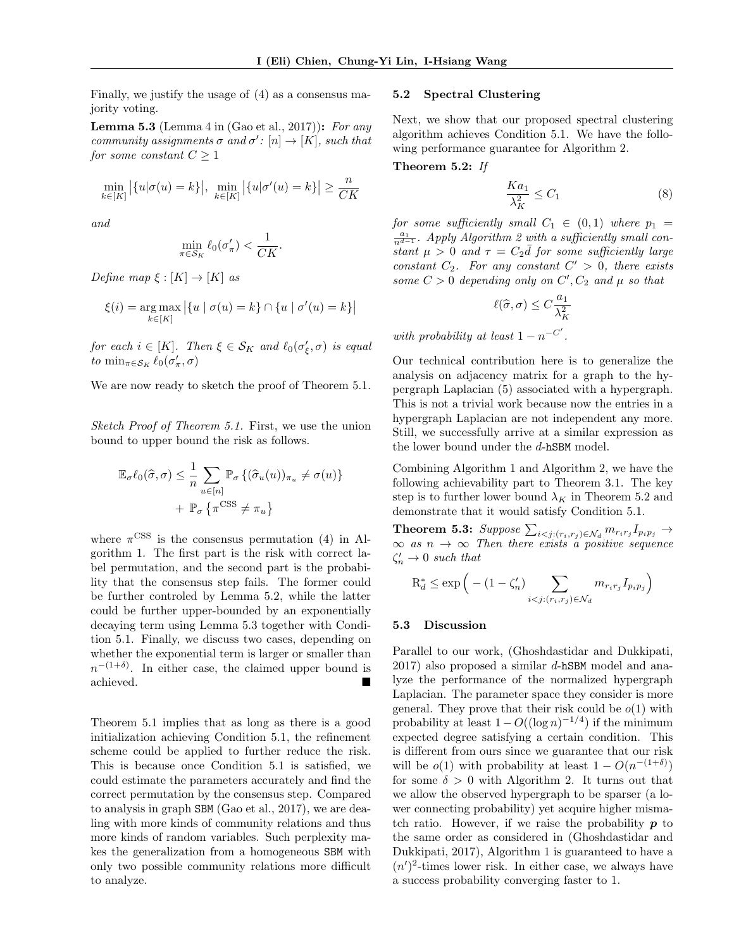Finally, we justify the usage of [\(4\)](#page-4-2) as a consensus majority voting.

<span id="page-6-0"></span>**Lemma 5.3** (Lemma 4 in (Gao et al., [2017\)](#page-8-6)): For any community assignments  $\sigma$  and  $\sigma'$ :  $[n] \to [K]$ , such that for some constant  $C > 1$ 

$$
\min_{k \in [K]} \left| \{ u | \sigma(u) = k \} \right|, \ \min_{k \in [K]} \left| \{ u | \sigma'(u) = k \} \right| \ge \frac{n}{CK}
$$

and

$$
\min_{\pi \in \mathcal{S}_K} \ell_0(\sigma'_{\pi}) < \frac{1}{CK}.
$$

Define map  $\xi : [K] \to [K]$  as

$$
\xi(i) = \underset{k \in [K]}{\arg \max} \left| \{ u \mid \sigma(u) = k \} \cap \{ u \mid \sigma'(u) = k \} \right|
$$

for each  $i \in [K]$ . Then  $\xi \in \mathcal{S}_K$  and  $\ell_0(\sigma'_\xi, \sigma)$  is equal to  $\min_{\pi \in \mathcal{S}_K} \ell_0(\sigma'_\pi, \sigma)$ 

We are now ready to sketch the proof of Theorem [5.1.](#page-5-2)

Sketch Proof of Theorem [5.1.](#page-5-2) First, we use the union bound to upper bound the risk as follows.

$$
\mathbb{E}_{\sigma}\ell_0(\widehat{\sigma},\sigma) \leq \frac{1}{n} \sum_{u \in [n]} \mathbb{P}_{\sigma} \left\{ (\widehat{\sigma}_u(u))_{\pi_u} \neq \sigma(u) \right\} + \mathbb{P}_{\sigma} \left\{ \pi^{\text{CSS}} \neq \pi_u \right\}
$$

where  $\pi$ <sup>CSS</sup> is the consensus permutation [\(4\)](#page-4-2) in Algorithm [1.](#page-4-0) The first part is the risk with correct label permutation, and the second part is the probability that the consensus step fails. The former could be further controled by Lemma [5.2,](#page-5-5) while the latter could be further upper-bounded by an exponentially decaying term using Lemma [5.3](#page-6-0) together with Condition [5.1.](#page-5-1) Finally, we discuss two cases, depending on whether the exponential term is larger or smaller than  $n^{-(1+\delta)}$ . In either case, the claimed upper bound is achieved.

Theorem [5.1](#page-5-2) implies that as long as there is a good initialization achieving Condition [5.1,](#page-5-1) the refinement scheme could be applied to further reduce the risk. This is because once Condition [5.1](#page-5-1) is satisfied, we could estimate the parameters accurately and find the correct permutation by the consensus step. Compared to analysis in graph SBM (Gao et al., [2017\)](#page-8-6), we are dealing with more kinds of community relations and thus more kinds of random variables. Such perplexity makes the generalization from a homogeneous SBM with only two possible community relations more difficult to analyze.

#### 5.2 Spectral Clustering

Next, we show that our proposed spectral clustering algorithm achieves Condition [5.1.](#page-5-1) We have the following performance guarantee for Algorithm [2.](#page-5-0)

<span id="page-6-1"></span>Theorem 5.2: If

$$
\frac{Ka_1}{\lambda_K^2} \le C_1 \tag{8}
$$

for some sufficiently small  $C_1 \in (0,1)$  where  $p_1 =$  $\frac{a_1}{n^{d-1}}$ . Apply Algorithm [2](#page-5-0) with a sufficiently small constant  $\mu > 0$  and  $\tau = C_2 \bar{d}$  for some sufficiently large constant  $C_2$ . For any constant  $C' > 0$ , there exists some  $C > 0$  depending only on  $C', C_2$  and  $\mu$  so that

$$
\ell(\widehat{\sigma}, \sigma) \le C \frac{a_1}{\lambda_K^2}
$$

with probability at least  $1 - n^{-C'}$ .

Our technical contribution here is to generalize the analysis on adjacency matrix for a graph to the hypergraph Laplacian [\(5\)](#page-4-3) associated with a hypergraph. This is not a trivial work because now the entries in a hypergraph Laplacian are not independent any more. Still, we successfully arrive at a similar expression as the lower bound under the d-hSBM model.

Combining Algorithm [1](#page-4-0) and Algorithm [2,](#page-5-0) we have the following achievability part to Theorem [3.1.](#page-3-0) The key step is to further lower bound  $\lambda_K$  in Theorem [5.2](#page-6-1) and demonstrate that it would satisfy Condition [5.1.](#page-5-1)

Theorem 5.3: Suppose  $\sum_{i < j: (r_i,r_j) \in \mathcal{N}_d} m_{r_i r_j} I_{p_i p_j} \rightarrow$  $\infty$  as  $n \to \infty$  Then there exists a positive sequence  $\zeta_n' \to 0$  such that

$$
R_d^* \le \exp\left(-\left(1 - \zeta_n'\right) \sum_{i < j: (r_i, r_j) \in \mathcal{N}_d} m_{r_i r_j} I_{p_i p_j}\right)
$$

#### 5.3 Discussion

Parallel to our work, (Ghoshdastidar and Dukkipati,  $2017$ ) also proposed a similar d-hSBM model and analyze the performance of the normalized hypergraph Laplacian. The parameter space they consider is more general. They prove that their risk could be  $o(1)$  with probability at least  $1 - O((\log n)^{-1/4})$  if the minimum expected degree satisfying a certain condition. This is different from ours since we guarantee that our risk will be  $o(1)$  with probability at least  $1 - O(n^{-(1+\delta)})$ for some  $\delta > 0$  with Algorithm [2.](#page-5-0) It turns out that we allow the observed hypergraph to be sparser (a lower connecting probability) yet acquire higher mismatch ratio. However, if we raise the probability  $p$  to the same order as considered in (Ghoshdastidar and Dukkipati, [2017\)](#page-8-14), Algorithm [1](#page-4-0) is guaranteed to have a  $(n')^2$ -times lower risk. In either case, we always have a success probability converging faster to 1.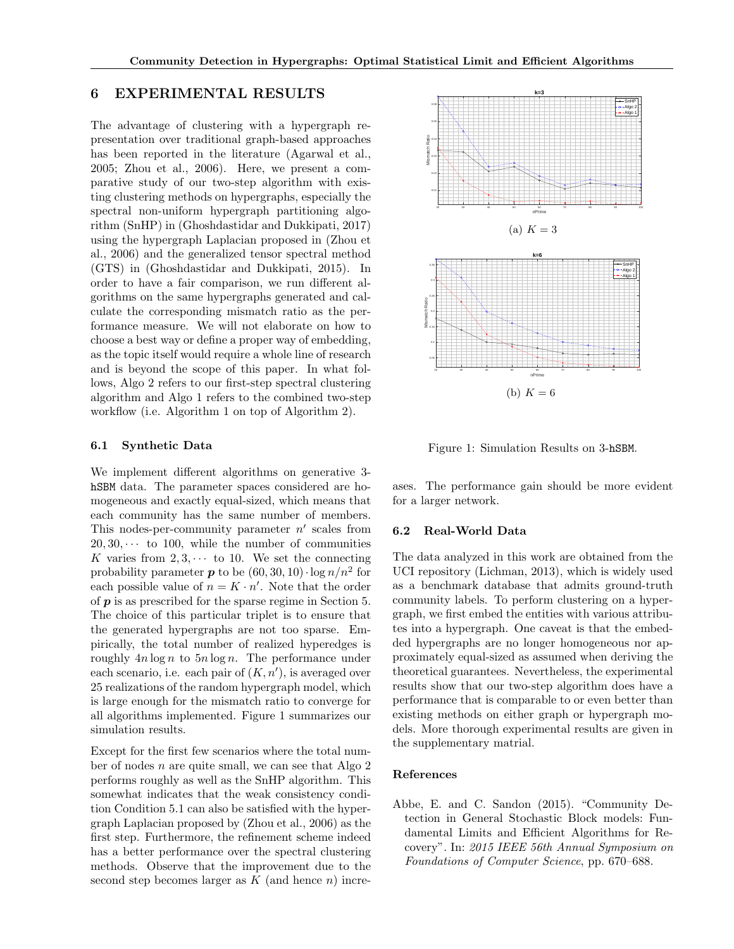## 6 EXPERIMENTAL RESULTS

The advantage of clustering with a hypergraph representation over traditional graph-based approaches has been reported in the literature (Agarwal et al., [2005;](#page-8-7) Zhou et al., [2006\)](#page-8-10). Here, we present a comparative study of our two-step algorithm with existing clustering methods on hypergraphs, especially the spectral non-uniform hypergraph partitioning algorithm (SnHP) in (Ghoshdastidar and Dukkipati, [2017\)](#page-8-14) using the hypergraph Laplacian proposed in (Zhou et al., [2006\)](#page-8-10) and the generalized tensor spectral method (GTS) in (Ghoshdastidar and Dukkipati, [2015\)](#page-8-11). In order to have a fair comparison, we run different algorithms on the same hypergraphs generated and calculate the corresponding mismatch ratio as the performance measure. We will not elaborate on how to choose a best way or define a proper way of embedding, as the topic itself would require a whole line of research and is beyond the scope of this paper. In what follows, Algo 2 refers to our first-step spectral clustering algorithm and Algo 1 refers to the combined two-step workflow (i.e. Algorithm [1](#page-4-0) on top of Algorithm [2\)](#page-5-0).

#### 6.1 Synthetic Data

We implement different algorithms on generative 3 hSBM data. The parameter spaces considered are homogeneous and exactly equal-sized, which means that each community has the same number of members. This nodes-per-community parameter  $n'$  scales from  $20, 30, \cdots$  to 100, while the number of communities K varies from  $2, 3, \cdots$  to 10. We set the connecting probability parameter **p** to be  $(60, 30, 10) \cdot \log n/n^2$  for each possible value of  $n = K \cdot n'$ . Note that the order of  $p$  is as prescribed for the sparse regime in Section [5.](#page-5-6) The choice of this particular triplet is to ensure that the generated hypergraphs are not too sparse. Empirically, the total number of realized hyperedges is roughly  $4n \log n$  to  $5n \log n$ . The performance under each scenario, i.e. each pair of  $(K, n')$ , is averaged over 25 realizations of the random hypergraph model, which is large enough for the mismatch ratio to converge for all algorithms implemented. Figure [1](#page-7-1) summarizes our simulation results.

Except for the first few scenarios where the total number of nodes n are quite small, we can see that Algo 2 performs roughly as well as the SnHP algorithm. This somewhat indicates that the weak consistency condition Condition [5.1](#page-5-1) can also be satisfied with the hypergraph Laplacian proposed by (Zhou et al., [2006\)](#page-8-10) as the first step. Furthermore, the refinement scheme indeed has a better performance over the spectral clustering methods. Observe that the improvement due to the second step becomes larger as  $K$  (and hence n) incre-



<span id="page-7-1"></span>Figure 1: Simulation Results on 3-hSBM.

ases. The performance gain should be more evident for a larger network.

#### 6.2 Real-World Data

The data analyzed in this work are obtained from the UCI repository (Lichman, [2013\)](#page-8-22), which is widely used as a benchmark database that admits ground-truth community labels. To perform clustering on a hypergraph, we first embed the entities with various attributes into a hypergraph. One caveat is that the embedded hypergraphs are no longer homogeneous nor approximately equal-sized as assumed when deriving the theoretical guarantees. Nevertheless, the experimental results show that our two-step algorithm does have a performance that is comparable to or even better than existing methods on either graph or hypergraph models. More thorough experimental results are given in the supplementary matrial.

#### References

<span id="page-7-0"></span>Abbe, E. and C. Sandon (2015). "Community Detection in General Stochastic Block models: Fundamental Limits and Efficient Algorithms for Recovery". In: 2015 IEEE 56th Annual Symposium on Foundations of Computer Science, pp. 670–688.